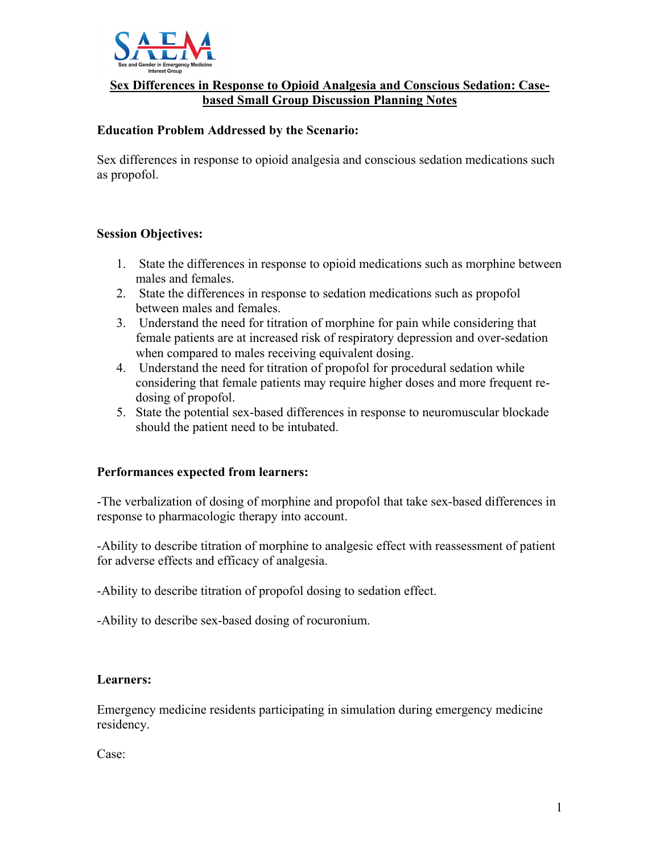

### **Sex Differences in Response to Opioid Analgesia and Conscious Sedation: Casebased Small Group Discussion Planning Notes**

### **Education Problem Addressed by the Scenario:**

Sex differences in response to opioid analgesia and conscious sedation medications such as propofol.

#### **Session Objectives:**

- 1. State the differences in response to opioid medications such as morphine between males and females.
- 2. State the differences in response to sedation medications such as propofol between males and females.
- 3. Understand the need for titration of morphine for pain while considering that female patients are at increased risk of respiratory depression and over-sedation when compared to males receiving equivalent dosing.
- 4. Understand the need for titration of propofol for procedural sedation while considering that female patients may require higher doses and more frequent redosing of propofol.
- 5. State the potential sex-based differences in response to neuromuscular blockade should the patient need to be intubated.

#### **Performances expected from learners:**

-The verbalization of dosing of morphine and propofol that take sex-based differences in response to pharmacologic therapy into account.

-Ability to describe titration of morphine to analgesic effect with reassessment of patient for adverse effects and efficacy of analgesia.

-Ability to describe titration of propofol dosing to sedation effect.

-Ability to describe sex-based dosing of rocuronium.

#### **Learners:**

Emergency medicine residents participating in simulation during emergency medicine residency.

Case: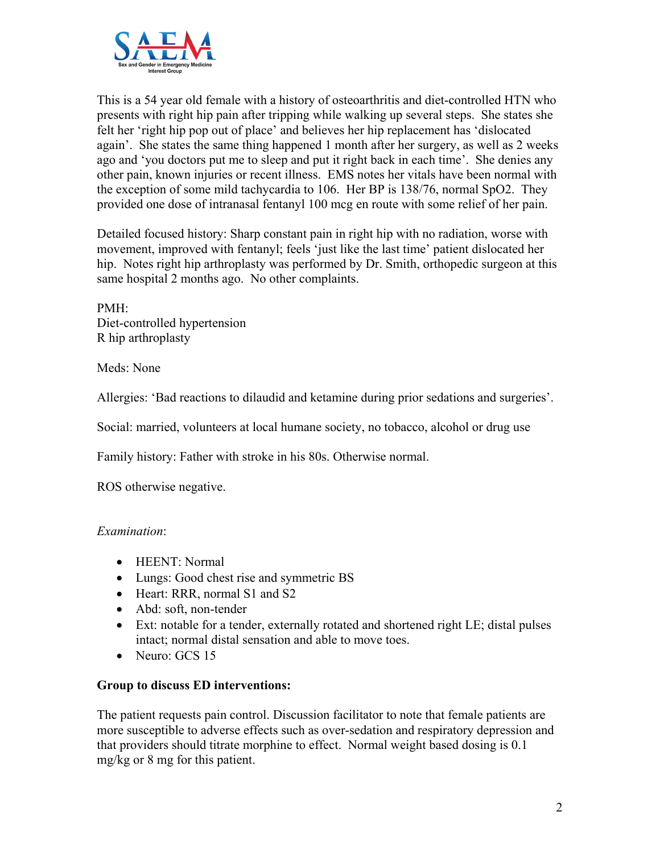

This is a 54 year old female with a history of osteoarthritis and diet-controlled HTN who presents with right hip pain after tripping while walking up several steps. She states she felt her 'right hip pop out of place' and believes her hip replacement has 'dislocated again'. She states the same thing happened 1 month after her surgery, as well as 2 weeks ago and 'you doctors put me to sleep and put it right back in each time'. She denies any other pain, known injuries or recent illness. EMS notes her vitals have been normal with the exception of some mild tachycardia to 106. Her BP is 138/76, normal SpO2. They provided one dose of intranasal fentanyl 100 mcg en route with some relief of her pain.

Detailed focused history: Sharp constant pain in right hip with no radiation, worse with movement, improved with fentanyl; feels 'just like the last time' patient dislocated her hip. Notes right hip arthroplasty was performed by Dr. Smith, orthopedic surgeon at this same hospital 2 months ago. No other complaints.

PMH: Diet-controlled hypertension R hip arthroplasty

Meds: None

Allergies: 'Bad reactions to dilaudid and ketamine during prior sedations and surgeries'.

Social: married, volunteers at local humane society, no tobacco, alcohol or drug use

Family history: Father with stroke in his 80s. Otherwise normal.

ROS otherwise negative.

# *Examination*:

- HEENT: Normal
- Lungs: Good chest rise and symmetric BS
- Heart: RRR, normal S1 and S2
- Abd: soft, non-tender
- Ext: notable for a tender, externally rotated and shortened right LE; distal pulses intact; normal distal sensation and able to move toes.
- Neuro: GCS 15

# **Group to discuss ED interventions:**

The patient requests pain control. Discussion facilitator to note that female patients are more susceptible to adverse effects such as over-sedation and respiratory depression and that providers should titrate morphine to effect. Normal weight based dosing is 0.1 mg/kg or 8 mg for this patient.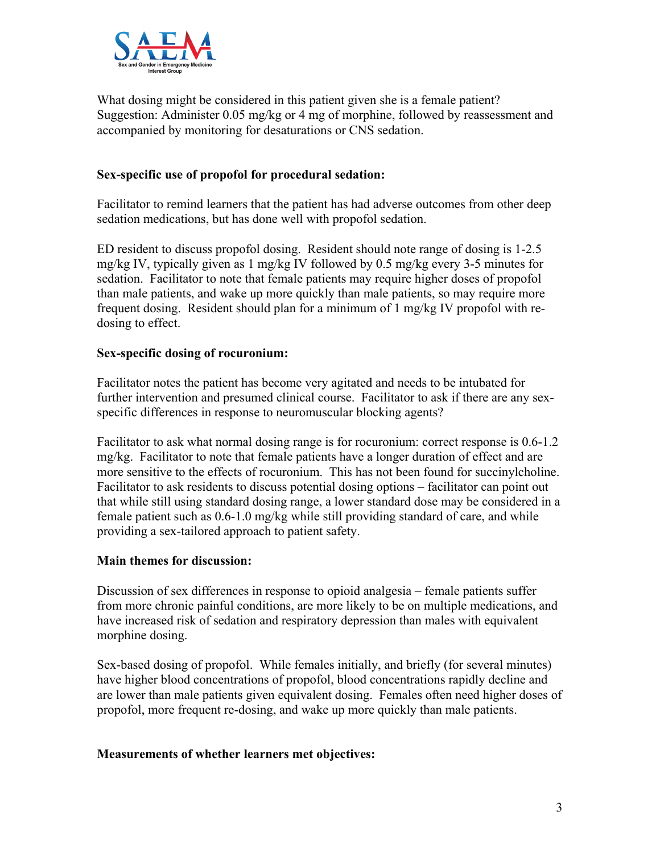

What dosing might be considered in this patient given she is a female patient? Suggestion: Administer 0.05 mg/kg or 4 mg of morphine, followed by reassessment and accompanied by monitoring for desaturations or CNS sedation.

# **Sex-specific use of propofol for procedural sedation:**

Facilitator to remind learners that the patient has had adverse outcomes from other deep sedation medications, but has done well with propofol sedation.

ED resident to discuss propofol dosing. Resident should note range of dosing is 1-2.5 mg/kg IV, typically given as 1 mg/kg IV followed by 0.5 mg/kg every 3-5 minutes for sedation. Facilitator to note that female patients may require higher doses of propofol than male patients, and wake up more quickly than male patients, so may require more frequent dosing. Resident should plan for a minimum of 1 mg/kg IV propofol with redosing to effect.

# **Sex-specific dosing of rocuronium:**

Facilitator notes the patient has become very agitated and needs to be intubated for further intervention and presumed clinical course. Facilitator to ask if there are any sexspecific differences in response to neuromuscular blocking agents?

Facilitator to ask what normal dosing range is for rocuronium: correct response is 0.6-1.2 mg/kg. Facilitator to note that female patients have a longer duration of effect and are more sensitive to the effects of rocuronium. This has not been found for succinylcholine. Facilitator to ask residents to discuss potential dosing options – facilitator can point out that while still using standard dosing range, a lower standard dose may be considered in a female patient such as 0.6-1.0 mg/kg while still providing standard of care, and while providing a sex-tailored approach to patient safety.

#### **Main themes for discussion:**

Discussion of sex differences in response to opioid analgesia – female patients suffer from more chronic painful conditions, are more likely to be on multiple medications, and have increased risk of sedation and respiratory depression than males with equivalent morphine dosing.

Sex-based dosing of propofol. While females initially, and briefly (for several minutes) have higher blood concentrations of propofol, blood concentrations rapidly decline and are lower than male patients given equivalent dosing. Females often need higher doses of propofol, more frequent re-dosing, and wake up more quickly than male patients.

#### **Measurements of whether learners met objectives:**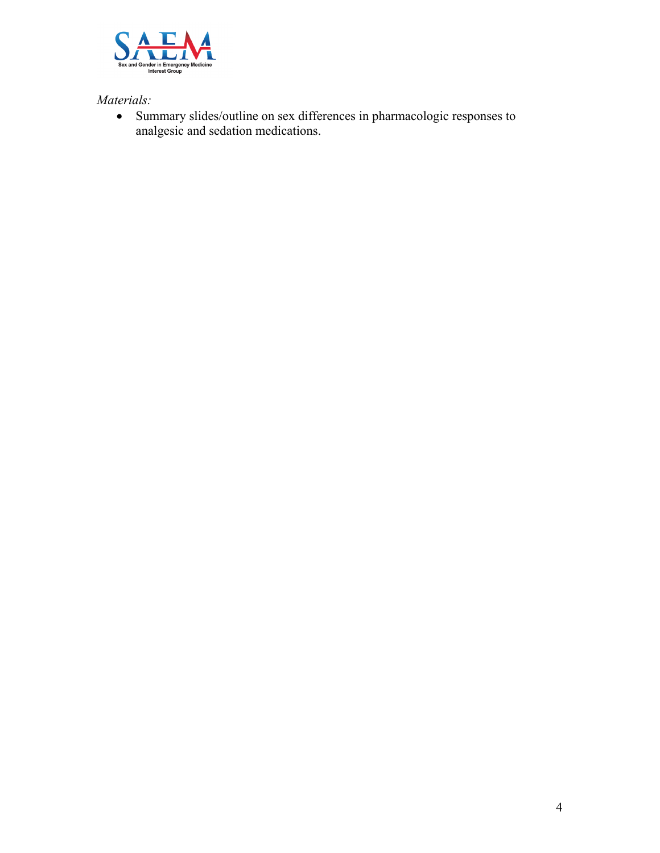

*Materials:*

• Summary slides/outline on sex differences in pharmacologic responses to analgesic and sedation medications.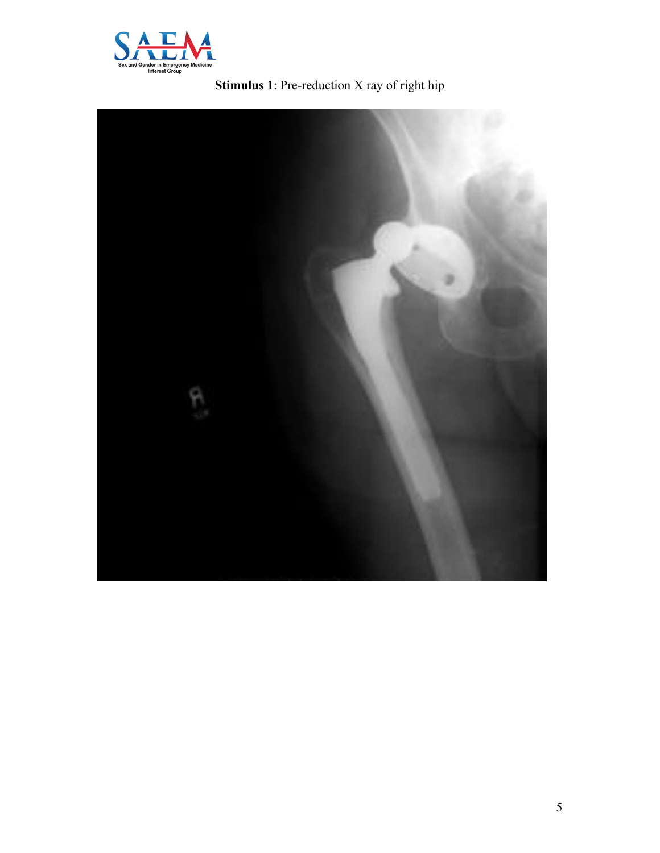